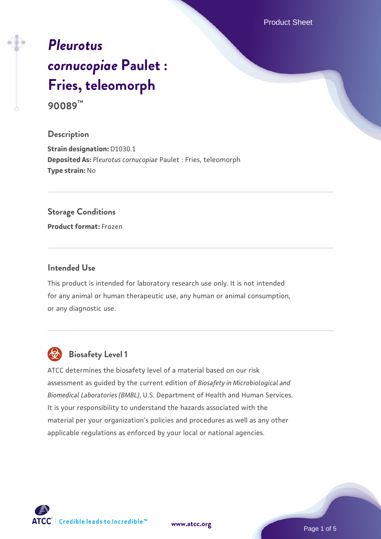Product Sheet

# *[Pleurotus](https://www.atcc.org/products/90089) [cornucopiae](https://www.atcc.org/products/90089)* **[Paulet :](https://www.atcc.org/products/90089) [Fries, teleomorph](https://www.atcc.org/products/90089)**

**90089™**

# **Description**

**Strain designation:** D1030.1 **Deposited As:** *Pleurotus cornucopiae* Paulet : Fries, teleomorph **Type strain:** No

## **Storage Conditions**

**Product format:** Frozen

## **Intended Use**

This product is intended for laboratory research use only. It is not intended for any animal or human therapeutic use, any human or animal consumption, or any diagnostic use.



# **Biosafety Level 1**

ATCC determines the biosafety level of a material based on our risk assessment as guided by the current edition of *Biosafety in Microbiological and Biomedical Laboratories (BMBL)*, U.S. Department of Health and Human Services. It is your responsibility to understand the hazards associated with the material per your organization's policies and procedures as well as any other applicable regulations as enforced by your local or national agencies.

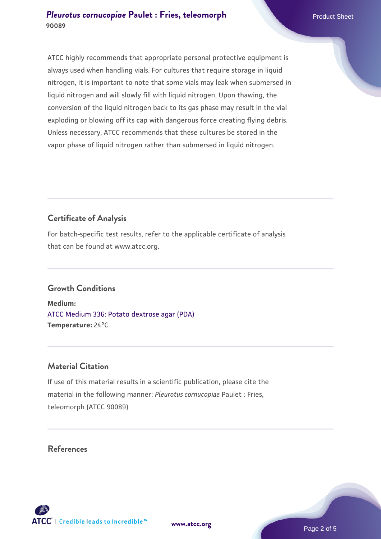ATCC highly recommends that appropriate personal protective equipment is always used when handling vials. For cultures that require storage in liquid nitrogen, it is important to note that some vials may leak when submersed in liquid nitrogen and will slowly fill with liquid nitrogen. Upon thawing, the conversion of the liquid nitrogen back to its gas phase may result in the vial exploding or blowing off its cap with dangerous force creating flying debris. Unless necessary, ATCC recommends that these cultures be stored in the vapor phase of liquid nitrogen rather than submersed in liquid nitrogen.

# **Certificate of Analysis**

For batch-specific test results, refer to the applicable certificate of analysis that can be found at www.atcc.org.

# **Growth Conditions**

**Medium:**  [ATCC Medium 336: Potato dextrose agar \(PDA\)](https://www.atcc.org/-/media/product-assets/documents/microbial-media-formulations/3/3/6/atcc-medium-336.pdf?rev=d9160ad44d934cd8b65175461abbf3b9) **Temperature:** 24°C

# **Material Citation**

If use of this material results in a scientific publication, please cite the material in the following manner: *Pleurotus cornucopiae* Paulet : Fries, teleomorph (ATCC 90089)

# **References**





**[www.atcc.org](http://www.atcc.org)**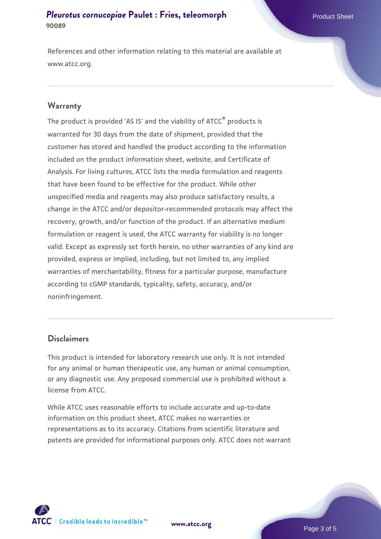References and other information relating to this material are available at www.atcc.org.

#### **Warranty**

The product is provided 'AS IS' and the viability of ATCC® products is warranted for 30 days from the date of shipment, provided that the customer has stored and handled the product according to the information included on the product information sheet, website, and Certificate of Analysis. For living cultures, ATCC lists the media formulation and reagents that have been found to be effective for the product. While other unspecified media and reagents may also produce satisfactory results, a change in the ATCC and/or depositor-recommended protocols may affect the recovery, growth, and/or function of the product. If an alternative medium formulation or reagent is used, the ATCC warranty for viability is no longer valid. Except as expressly set forth herein, no other warranties of any kind are provided, express or implied, including, but not limited to, any implied warranties of merchantability, fitness for a particular purpose, manufacture according to cGMP standards, typicality, safety, accuracy, and/or noninfringement.

## **Disclaimers**

This product is intended for laboratory research use only. It is not intended for any animal or human therapeutic use, any human or animal consumption, or any diagnostic use. Any proposed commercial use is prohibited without a license from ATCC.

While ATCC uses reasonable efforts to include accurate and up-to-date information on this product sheet, ATCC makes no warranties or representations as to its accuracy. Citations from scientific literature and patents are provided for informational purposes only. ATCC does not warrant



**[www.atcc.org](http://www.atcc.org)**

Page 3 of 5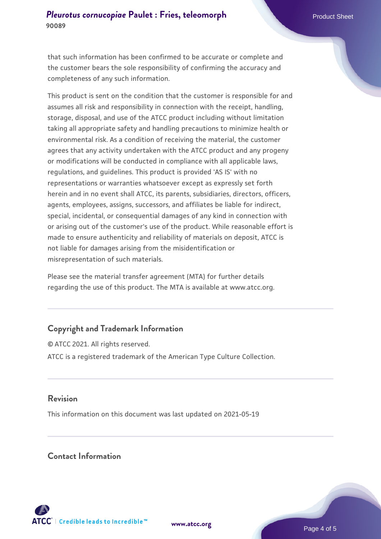that such information has been confirmed to be accurate or complete and the customer bears the sole responsibility of confirming the accuracy and completeness of any such information.

This product is sent on the condition that the customer is responsible for and assumes all risk and responsibility in connection with the receipt, handling, storage, disposal, and use of the ATCC product including without limitation taking all appropriate safety and handling precautions to minimize health or environmental risk. As a condition of receiving the material, the customer agrees that any activity undertaken with the ATCC product and any progeny or modifications will be conducted in compliance with all applicable laws, regulations, and guidelines. This product is provided 'AS IS' with no representations or warranties whatsoever except as expressly set forth herein and in no event shall ATCC, its parents, subsidiaries, directors, officers, agents, employees, assigns, successors, and affiliates be liable for indirect, special, incidental, or consequential damages of any kind in connection with or arising out of the customer's use of the product. While reasonable effort is made to ensure authenticity and reliability of materials on deposit, ATCC is not liable for damages arising from the misidentification or misrepresentation of such materials.

Please see the material transfer agreement (MTA) for further details regarding the use of this product. The MTA is available at www.atcc.org.

# **Copyright and Trademark Information**

© ATCC 2021. All rights reserved. ATCC is a registered trademark of the American Type Culture Collection.

## **Revision**

This information on this document was last updated on 2021-05-19

## **Contact Information**



**[www.atcc.org](http://www.atcc.org)**

Page 4 of 5